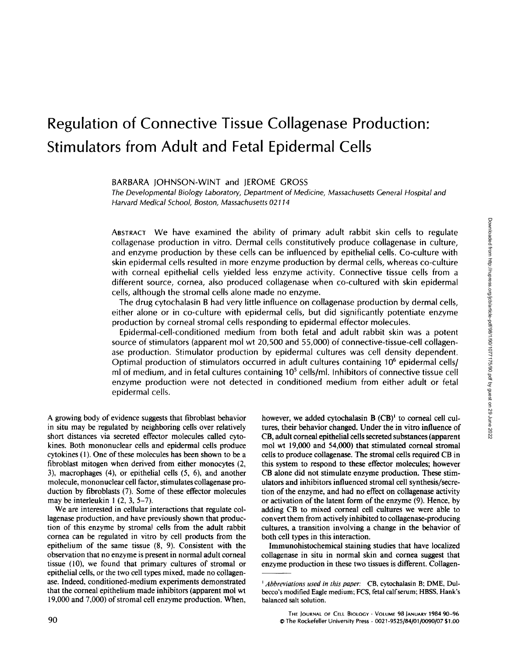# Regulation of Connective Tissue Collagenase Production: Stimulators from Adult and Fetal Epidermal Cells

BARBARA JOHNSON-WINT and JEROME GROSS

The Developmental Biology Laboratory, Department of Medicine, Massachusetts General Hospital and Harvard Medical School, Boston, Massachusetts 02114

ABSTRACT We have examined the ability of primary adult rabbit skin cells to regulate collagenase production in vitro. Dermal cells constitutively produce collagenase in culture, and enzyme production by these cells can be influenced by epithelial cells . Co-culture with skin epidermal cells resulted in more enzyme production by dermal cells, whereas co-culture with corneal epithelial cells yielded less enzyme activity. Connective tissue cells from a different source, cornea, also produced collagenase when co-cultured with skin epidermal cells, although the stromal cells alone made no enzyme.

The drug cytochalasin B had very little influence on collagenase production by dermal cells, either alone or in co-culture with epidermal cells, but did significantly potentiate enzyme production by corneal stromal cells responding to epidermal effector molecules .

Epidermal-cell-conditioned medium from both fetal and adult rabbit skin was <sup>a</sup> potent source of stimulators (apparent mol wt 20,500 and 55,000) of connective-tissue-cell collagenase production. Stimulator production by epidermal cultures was cell density dependent. Optimal production of stimulators occurred in adult cultures containing 106 epidermal cells/ ml of medium, and in fetal cultures containing  $10<sup>5</sup>$  cells/ml. Inhibitors of connective tissue cell enzyme production were not detected in conditioned medium from either adult or fetal epidermal cells.

A growing body of evidence suggests that fibroblast behavior in situ may be regulated by neighboring cells over relatively short distances via secreted effector molecules called cytokines. Both mononuclear cells and epidermal cells produce cytokines  $(1)$ . One of these molecules has been shown to be a fibroblast mitogen when derived from either monocytes (2, 3), macrophages (4), or epithelial cells (5, 6), and another molecule, mononuclear cell factor, stimulates collagenase production by fibroblasts (7). Some of these effector molecules may be interleukin  $1$   $(2, 3, 5-7)$ .

We are interested in cellular interactions that regulate collagenase production, and have previously shown that production of this enzyme by stromal cells from the adult rabbit cornea can be regulated in vitro by cell products from the epithelium of the same tissue (8, 9). Consistent with the observation that no enzyme is present in normal adult corneal tissue (10), we found that primary cultures of stromal or epithelial cells, or the two cell types mixed, made no collagenase. Indeed, conditioned-medium experiments demonstrated that the corneal epithelium made inhibitors (apparent mol wt 19,000 and 7,000) of stromal cell enzyme production. When,

however, we added cytochalasin B (CB)' to corneal cell cultures, their behavior changed. Under the in vitro influence of CB, adult corneal epithelial cells secreted substances (apparent mol wt 19,000 and 54,000) that stimulated corneal stromal cells to produce collagenase. The stromal cells required CB in this system to respond to these effector molecules; however CB alone did not stimulate enzyme production. These stimulators and inhibitors influenced stromal cell synthesis/secretion of the enzyme, and had no effect on collagenase activity or activation of the latent form of the enzyme (9). Hence, by adding CB to mixed corneal cell cultures we were able to convert them from actively inhibited to collagenase-producing cultures, a transition involving a change in the behavior of both cell types in this interaction.

Immunohistochemical staining studies that have localized collagenase in situ in normal skin and cornea suggest that enzyme production in these two tissues is different. Collagen-

<sup>&</sup>lt;sup>1</sup> Abbreviations used in this paper: CB, cytochalasin B; DME, Dulbecco's modified Eagle medium; FCS, fetal calf serum; HBSS, Hank's balanced salt solution.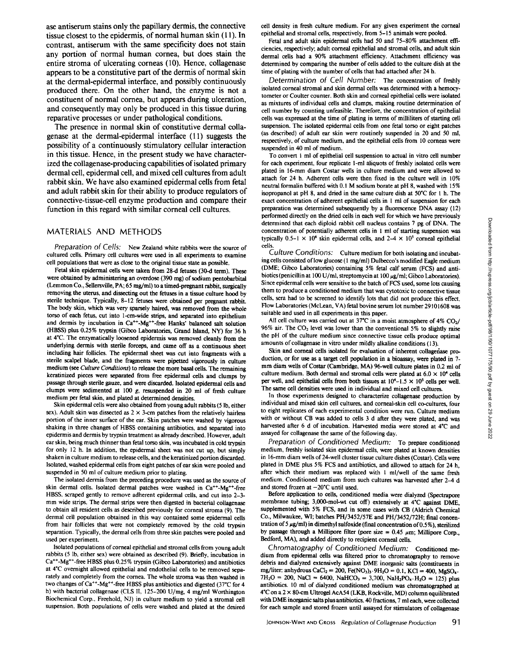ase antiserum stains only the papillary dermis, the connective tissue closest to the epidermis, of normal human skin (11). In contrast, antiserum with the same specificity does not stain any portion of normal human cornea, but does stain the entire stroma of ulcerating corneas (10). Hence, collagenase appears to be a constitutive part of the dermis of normal skin at the dermal-epidermal interface, and possibly continuously produced there. On the other hand, the enzyme is not <sup>a</sup> constituent of normal cornea, but appears during ulceration, and consequently may only be produced in this tissue during reparative processes or under pathological conditions.

The presence in normal skin of constitutive dermal collagenase at the dermal-epidermal interface (11) suggests the possibility of a continuously stimulatory cellular interaction in this tissue. Hence, in the present study we have characterized the collagenase-producing capabilities of isolated primary dermal cell, epidermal cell, and mixed cell cultures from adult rabbit skin. We have also examined epidermal cells from fetal and adult rabbit skin for their ability to produce regulators of connective-tissue-cell enzyme production and compare their function in this regard with similar corneal cell cultures.

#### MATERIALS AND METHODS

Preparation of Cells: New Zealand white rabbits were the source of cultured cells. Primary cell cultures were used in all experiments to examine cell populations that were as close to the original tissue state as possible .

Fetal skin epidermal cells were taken from 28-d fetuses (30-d term). These were obtained by administering an overdose (390 mg) of sodium pentobarbital (Lemmon Co., Sellersville, PA; 65 mg/ml) to atimed-pregnant rabbit, surgically removing the uterus, and dissecting out the fetuses in a tissue culture hood by sterile technique. Typically, 8-12 fetuses were obtained per pregnant rabbit. The body skin, which was very sparsely haired, was removed from the whole torso of each fetus, cut into 1-cm-wide strips, and separated into epithelium and dermis by incubation in  $Ca^{++}$ -Mg<sup>++</sup>-free Hanks' balanced salt solution (HBSS) plus 0.25% trypsin (Gibco Laboratories, Grand Island, NY) for <sup>36</sup> h at 4°C. The enzymatically loosened epidermis was removed cleanly from the underlying dermis with sterile forceps, and came off as a continuous sheet including hair follicles. The epidermal sheet was cut into fragments with a sterile scalpel blade, and the fragments were pipetted vigorously in culture medium (see Culture Conditions) to release the more basal cells. The remaining keratinized pieces were separated from free epidermal cells and clumps by passage through sterile gauze, and were discarded . Isolated epidermal cells and clumps were sedimented at 100 g, resuspended in 20 ml of fresh culture medium per fetal skin, and plated at determined densities.

Skin epidermal cells were also obtained from young adult rabbits (5 lb, either sex). Adult skin was dissected as  $2 \times 3$ -cm patches from the relatively hairless portion of the inner surface of the ear. Skin patches were washed by vigorous shaking in three changes of HBSS containing antibiotics, and separated into epidermis and dermis by trypsin treatment as already described . However, adult ear skin, being much thinner than fetal torso skin, was incubated in cold trypsin for only 12 h. In addition, the epidermal sheet was not cut up, but simply shaken in culture medium to release cells, and the keratinized portion discarded . Isolated, washed epidermal cells from eight patches of ear skin were pooled and suspended in 50 ml of culture medium prior to plating.

The isolated dermis from the preceding procedure was used as the source of skin dermal cells. Isolated dermal patches were washed in Ca<sup>++</sup>-Mg<sup>++</sup>-free HBSS, scraped gently to remove adherent epidermal cells, and cut into 2-3 mm wide strips. The dermal strips were then digested in bacterial collagenase to obtain all resident cells as described previously for corneal stroma (9). The dermal cell population obtained in this way contained some epidermal cells from hair follicles that were not completely removed by the cold trypsin separation. Typically, the dermal cells from three skin patches were pooled and used per experiment.

Isolated populations of corneal epithelial and stromal cells from young adult rabbits (5 lb, either sex) were obtained as described (9) . Briefly, incubation in Ca<sup>++</sup>-Mg<sup>++</sup>-free HBSS plus 0.25% trypsin (Gibco Laboratories) and antibiotics at 4°C overnight allowed epithelial and endothelial cells to be removed separately and completely from the cornea. The whole stroma was then washed in two changes of Ca\*\*-Mg\*\*-free HBSS plus antibiotics and digested (37°C for 4 h) with bacterial collagenase (CLS II, 125-200 U/mg, <sup>4</sup> mg/ml Worthington Biochemical Corp., Freehold, NJ) in culture medium to yield a stromal cell suspension. Both populations of cells were washed and plated at the desired

cell density in fresh culture medium. For any given experiment the corneal epithelial and stromal cells, respectively, from 5-15 animals were pooled.

Fetal and adult skin epidermal cells had 50 and 75-80% attachment efficiencies, respectively; adult corneal epithelial and stromal cells, and adult skin dermal cells had a 90% attachment efficiency. Attachment efficiency was determined by comparing the number of cells added to the culture dish at the time of plating with the number of cells that had attached after 24 h.

Determination of Cell Number: The concentration of freshly isolated corneal stromal and skin dermal cells was determined with a hemocytometer or Coulter counter. Both skin and corneal epithelial cells were isolated as mixtures of individual cells and clumps, making routine determination of cell number by counting unfeasible . Therefore, the concentration of epithelial cells was expressed at the time of plating in terms of milliliters of starting cell suspension . The isolated epidermal cells from one fetal torso or eight patches (as described) of adult ear skin were routinely suspended in 20 and 50 ml, respectively, of culture medium, and the epithelial cells from 10 corneas were suspended in 40 ml of medium.

To convert <sup>I</sup> ml of epithelial cell suspension to actual in vitro cell number for each experiment, four replicate 1-ml aliquots of freshly isolated cells were plated in 16-mm diam Costar wells in culture medium and were allowed to attach for 24 h. Adherent cells were then fixed in the culture well in 10% neutral formalin buffered with 0.1 M sodium borate at pH 8, washed with 15% isopropanol at pH 8, and dried in the same culture dish at 50°C for 1 h. The exact concentration of adherent epithelial cells in <sup>I</sup> ml of suspension for each preparation was determined subsequently by a fluorescence DNA assay (12) performed directly on the dried cells in each well for which we have previously determined that each diploid rabbit cell nucleus contains <sup>7</sup> pg of DNA. The concentration of potentially adherent cells in <sup>I</sup> ml of starting suspension was typically 0.5-1  $\times$  10<sup>6</sup> skin epidermal cells, and 2-4  $\times$  10<sup>5</sup> corneal epithelial cells.

Culture Conditions: Culture medium for both isolating and incubating cells consisted of low glucose (1 mg/ml) Dulbecco's modified Eagle medium (DME; Gibco Laboratories) containing 5% fetal calf serum (FCS) and antibiotics (penicillin at 100 U/ml, streptomycin at 100 µg/ml; Gibco Laboratories). Since epidermal cells were sensitive to the batch of FCS used, some lots causing them to produce a conditioned medium that was cytotoxic to connective tissue cells, sera had to be screened to identify lots that did not produce this effect. Flow Laboratories (McLean, VA) fetal bovine serum lot number 29101608 was suitable and used in all experiments in this paper. Ethermion disc diploid collapelation of Corlation of Collagenase Production Collagenase Production Collagenase Production 1. The production of Collagenase Production 1. The method of Collagenase Production 1. The method i

All cell culture was carried out at 37°C in a moist atmosphere of 4%  $CO<sub>2</sub>/$  $96\%$  air. The CO<sub>2</sub> level was lower than the conventional 5% to slightly raise the pH of the culture medium since connective tissue cells produce optimal amounts of collagenase in vitro under mildly alkaline conditions (13).

Skin and corneal cells isolated for evaluation of inherent collagenase production, or for use as a target cell population in a bioassay, were plated in 7 mm diam wells of Costar (Cambridge, MA) 96-well culture plates in 0.2 ml of culture medium. Both dermal and stromal cells were plated at  $6.0 \times 10^4$  cells per well, and epithelial cells from both tissues at  $10^4$ –1.5 ×  $10^5$  cells per well. The same cell densities were used in individual and mixed cell cultures.

In those experiments designed to characterize collagenase production by individual and mixed skin cell cultures, and corneal-skin cell co-cultures, four to eight replicates of each experimental condition were run . Culture medium with or without CB was added to cells 3 d after they were plated, and was harvested after 6 d of incubation. Harvested media were stored at 4°C and assayed for collagenase the same of the following day.

Preparation of Conditioned Medium: To prepare conditioned medium, freshly isolated skin epidermal cells, were plated at known densities in 16-mm diam wells of 24-well cluster tissue culture dishes (Costar) . Cells were plated in DME plus 5% FCS and antibiotics, and allowed to attach for 24 h, after which their medium was replaced with <sup>1</sup> ml/well of the same fresh medium. Conditioned medium from such cultures was harvested after 2-4 d and stored frozen at  $-20^{\circ}$ C until used.

Before application to cells, conditioned media were dialyzed (Spectrapore membrane tubing; 3,000-mol-wt cut off) extensively at 4°C against DME, supplemented with 5% FCS, and in some cases with CB (Aldrich Chemical Co., Milwaukee, WI; batches PH/3452/57E and PH/3452/72H; final concentration of 5  $\mu$ g/ml) in dimethyl sulfoxide (final concentration of 0.5%), sterilized by passage through a Millipore filter (pore size =  $0.45 \mu m$ ; Millipore Corp., Bedford, MA), and added directly to recipient corneal cells.

Chromatography of Conditioned Medium: Conditioned medium from epidermal cells was filtered prior to chromatography to remove debris and dialyzed extensively against DME inorganic salts (constituents in mg/liter: anhydrous CaCl<sub>2</sub> = 200, Fe(NO<sub>3</sub>)<sub>3</sub>.9H<sub>2</sub>O = 0.1, KCl = 400, MgSO<sub>4</sub>.  $7H_2O = 200$ , NaCl = 6400, NaHCO<sub>3</sub> = 3,700, NaH<sub>2</sub>PO<sub>4</sub> $\cdot$ H<sub>2</sub>O = 125) plus antibiotics. 10 ml of dialyzed conditioned medium was chromatographed at 4°C on <sup>a</sup> <sup>2</sup> x 80-cm Ultrogel AcA54 (LKB, Rockville, MD)columnequilibrated with DME inorganic salts plus antibiotics. 40 fractions, 7 ml each, were collected for each sample and stored frozen until assayed, for stimulators of collagenase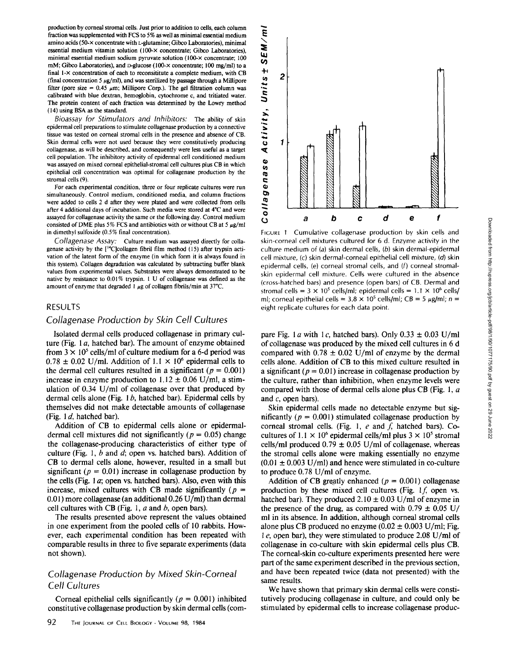production by corneal stromal cells. Just prior to addition to cells, each column fraction was supplemented with FCS to 5% as well as minimal essential medium amino acids (50- $\times$  concentrate with L-glutamine; Gibco Laboratories), minimal essential medium vitamin solution (100-x concentrate; Gibco Laboratories), minimal essential medium sodium pyruvate solution (100-x concentrate; 100 mM; Gibco Laboratories), and D-glucose (100-x concentrate; 100 mg/ml) to a final  $1 - \times$  concentration of each to reconsititute a complete medium, with CB (final concentration 5  $\mu$ g/ml), and was sterilized by passage through a Millipore filter (pore size =  $0.45 \mu m$ ; Millipore Corp.). The gel filtration column was calibrated with blue dextran, hemoglobin, cytochrome c, and tritiated water. The protein content of each fraction was determined by the Lowry method (14) using BSA as the standard.

Bioassay for Stimulators and Inhibitors: The ability of skin epidermal cell preparations to stimulate collagenase production by a connective tissue was tested on corneal stromal cells in the presence and absence of CB Skin dermal cells were not used because they were constitutively producing collagenase, as will be described, and consequently were less useful as a target cell population . The inhibitory activity of epidermal cell conditioned medium was assayed on mixed corneal epithelial-stromal cell cultures plus CB in which epithelial cell concentration was optimal for collagenase production by the stromal cells (9)

For each experimental condition, three or four replicate cultures were run simultaneously. Control medium, conditioned media, and column fractions were added to cells 2 d after they were plated and were collected from cells after 4 additional days of incubation . Such media were stored at 4°C and were assayed for collagenase activity the same or the following day. Control medium consisted of DME plus 5% FCS and antibiotics with or without CB at 5  $\mu$ g/ml in dimethyl sulfoxide (0.5% final concentration).

Collagenase Assay: Culture medium was assayed directly for collagenase activity by the  $[{}^{14}C]$ collagen fibril film method (15) after trypsin activation of the latent form of the enzyme (in which form it is always found in this system). Collagen degradation was calculated by subtracting buffer blank values from experimental values. Substrates were always demonstrated to be native by resistance to 0.01% trypsin. 1 U of collagenase was defined as the amount of enzyme that degraded 1  $\mu$ g of collagen fibrils/min at 37°C.

#### RESULTS

# Collagenase Production by Skin Cell Cultures

Isolated dermal cells produced collagenase in primary culture (Fig. 1a, hatched bar). The amount of enzyme obtained from  $3 \times 10^5$  cells/ml of culture medium for a 6-d period was  $0.78 \pm 0.02$  U/ml. Addition of  $1.1 \times 10^6$  epidermal cells to the dermal cell cultures resulted in a significant ( $p = 0.001$ ) increase in enzyme production to  $1.12 \pm 0.06$  U/ml, a stimulation of 0.34 U/ml of collagenase over that produced by dermal cells alone (Fig.  $1 b$ , hatched bar). Epidermal cells by themselves did not make detectable amounts of collagenase (Fig.  $1 d$ , hatched bar).

Addition of CB to epidermal cells alone or epidermaldermal cell mixtures did not significantly ( $p = 0.05$ ) change the collagenase-producing characteristics of either type of culture (Fig. 1,  $b$  and  $d$ ; open vs. hatched bars). Addition of CB to dermal cells alone, however, resulted in <sup>a</sup> small but significant ( $p = 0.01$ ) increase in collagenase production by the cells (Fig. <sup>I</sup> a; open vs. hatched bars). Also, even with this increase, mixed cultures with CB made significantly ( $p =$ 0.01) more collagenase (an additional 0.26 U/ml) than dermal cell cultures with CB (Fig. 1,  $a$  and  $b$ , open bars).

The results presented above represent the values obtained in one experiment from the pooled cells of 10 rabbits. However, each experimental condition has been repeated with comparable results in three to five separate experiments (data not shown).

# Collagenase Production by Mixed Skin-Corneal Cell Cultures

Corneal epithelial cells significantly ( $p = 0.001$ ) inhibited constitutive collagenase production by skin dermal cells (com-



FIGURE 1 Cumulative collagenase production by skin cells and skin-corneal cell mixtures cultured for 6 d. Enzyme activity in the culture medium of (a) skin dermal cells, (b) skin dermal-epidermal cell mixture, (c) skin dermal-corneal epithelial cell mixture, (d) skin epidermal cells, (e) corneal stromal cells, and (f) corneal stromalskin epidermal cell mixture. Cells were cultured in the absence (cross-hatched bars) and presence (open bars) of CB . Dermal and stromal cells =  $3 \times 10^5$  cells/ml; epidermal cells =  $1.1 \times 10^6$  cells/ ml; corneal epithelial cells =  $3.8 \times 10^5$  cells/ml; CB =  $5 \mu g/ml$ ; n = eight replicate cultures for each data point.

pare Fig. 1 a with 1c, hatched bars). Only  $0.33 \pm 0.03$  U/ml of collagenase was produced by the mixed cell cultures in 6 d compared with  $0.78 \pm 0.02$  U/ml of enzyme by the dermal cells alone. Addition of CB to this mixed culture resulted in a significant ( $p = 0.01$ ) increase in collagenase production by the culture, rather than inhibition, when enzyme levels were compared with those of dermal cells alone plus CB (Fig. 1,  $a$ and  $c$ , open bars).

Skin epidermal cells made no detectable enzyme but significantly ( $p = 0.001$ ) stimulated collagenase production by corneal stromal cells. (Fig. 1,  $e$  and  $f$ , hatched bars). Cocultures of 1.1  $\times$  10<sup>6</sup> epidermal cells/ml plus  $3 \times 10^5$  stromal cells/ml produced  $0.79 \pm 0.05$  U/ml of collagenase, whereas the stromal cells alone were making essentially no enzyme  $(0.01 \pm 0.003 \text{ U/ml})$  and hence were stimulated in co-culture to produce 0.78 U/ml of enzyme.

Addition of CB greatly enhanced ( $p = 0.001$ ) collagenase production by these mixed cell cultures (Fig.  $1f$ , open vs. hatched bar). They produced  $2.10 \pm 0.03$  U/ml of enzyme in the presence of the drug, as compared with  $0.79 \pm 0.05$  U/ ml in its absence . In addition, although corneal stromal cells alone plus CB produced no enzyme  $(0.02 \pm 0.003 \text{ U/ml}; \text{Fig.})$ <sup>1</sup> e, open bar), they were stimulated to produce 2.08 U/ml of collagenase in co-culture with skin epidermal cells plus CB. The corneal-skin co-culture experiments presented here were part of the same experiment described in the previous section, and have been repeated twice (data not presented) with the same results.

We have shown that primary skin dermal cells were constitutively producing collagenase in culture, and could only be stimulated by epidermal cells to increase collagenase produc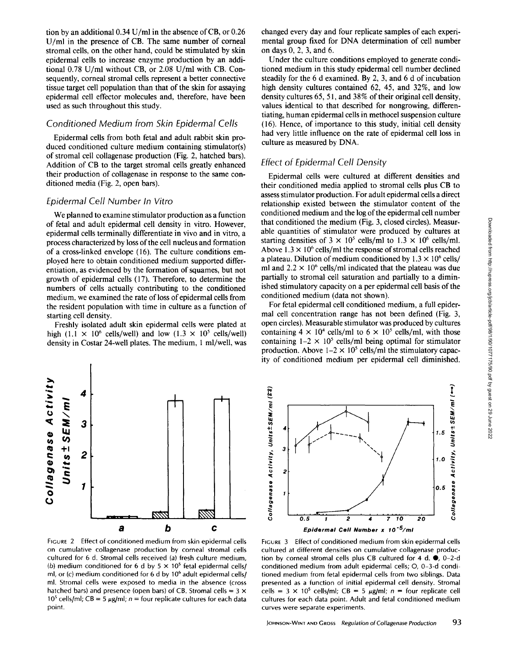tion by an additional  $0.34$  U/ml in the absence of CB, or  $0.26$ U/ml in the presence of CB. The same number of corneal stromal cells, on the other hand, could be stimulated by skin epidermal cells to increase enzyme production by an additional 0.78 U/ml without CB, or 2.08 U/ml with CB. Consequently, corneal stromal cells represent a better connective tissue target cell population than that of the skin for assaying epidermal cell effector molecules and, therefore, have been used as such throughout this study.

### Conditioned Medium from Skin Epidermal Cells

Epidermal cells from both fetal and adult rabbit skin produced conditioned culture medium containing stimulator(s) of stromal cell collagenase production (Fig. 2, hatched bars). Addition of CB to the target stromal cells greatly enhanced their production of collagenase in response to the same conditioned media (Fig. 2, open bars).

#### Epidermal Cell Number In Vitro

 $\sum$   $\geq$  4

We planned to examine stimulator production as <sup>a</sup> function of fetal and adult epidermal cell density in vitro. However, epidermal cells terminally differentiate in vivo and in vitro, a process characterized by loss of the cell nucleus and formation of a cross-linked envelope (16) . The culture conditions employed here to obtain conditioned medium supported differentiation, as evidenced by the formation of squames, but not growth of epidermal cells (17) . Therefore, to determine the numbers of cells actually contributing to the conditioned medium, we examined the rate of loss of epidermal cells from the resident population with time in culture as a function of starting cell density.

Freshly isolated adult skin epidermal cells were plated at high (1.1  $\times$  10<sup>6</sup> cells/well) and low (1.3  $\times$  10<sup>5</sup> cells/well) density in Costar 24-well plates. The medium, <sup>1</sup> ml/well, was changed every day and four replicate samples of each experimental group fixed for DNA determination of cell number on days 0, 2, 3, and 6.

Under the culture conditions employed to generate conditioned medium in this study epidermal cell number declined steadily for the 6 d examined. By 2, 3, and 6 d of incubation high density cultures contained 62, 45, and 32%, and low density cultures 65, 51, and 38% of their original cell density, values identical to that described for nongrowing, differentiating, human epidermal cells in methocel suspension culture (16) . Hence, of importance to this study, initial cell density had very little influence on the rate of epidermal cell loss in culture as measured by DNA.

### Effect of Epidermal Cell Density

Epidermal cells were cultured at different densities and their conditioned media applied to stromal cells plus CB to assess stimulator production. For adult epidermal cells a direct relationship existed between the stimulator content of the conditioned medium and the log of the epidermal cell number that conditioned the medium (Fig. 3, closed circles). Measurable quantities of stimulator were produced by cultures at starting densities of  $3 \times 10^5$  cells/ml to  $1.3 \times 10^6$  cells/ml. Above  $1.3 \times 10^6$  cells/ml the response of stromal cells reached a plateau. Dilution of medium conditioned by  $1.3 \times 10^6$  cells/ ml and  $2.2 \times 10^6$  cells/ml indicated that the plateau was due partially to stromal cell saturation and partially to a diminished stimulatory capacity on a per epidermal cell basis of the conditioned medium (data not shown).

For fetal epidermal cell conditioned medium, a full epidermal cell concentration range has not been defined (Fig. 3, open circles). Measurable stimulator was produced by cultures containing  $4 \times 10^4$  cells/ml to  $6 \times 10^5$  cells/ml, with those containing  $1-2 \times 10^5$  cells/ml being optimal for stimulator production. Above  $1-2 \times 10^5$  cells/ml the stimulatory capacity of conditioned medium per epidermal cell diminished.



on cumulative collagenase production by corneal stromal cells cultured for 6 d. Stromal cells received (a) fresh culture medium, (b) medium conditioned for 6 d by  $5 \times 10^5$  fetal epidermal cells/ ml, or (c) medium conditioned for 6 d by  $10<sup>6</sup>$  adult epidermal cells/ ml. Stromal cells were exposed to media in the absence (cross hatched bars) and presence (open bars) of CB. Stromal cells =  $3 \times$ 10<sup>5</sup> cells/ml; CB = 5  $\mu$ g/ml; n = four replicate cultures for each data point.



FIGURE 3 Effect of conditioned medium from skin epidermal cells cultured at different densities on cumulative collagenase production by corneal stromal cells plus CB cultured for 4 d.  $\bullet$ , 0-2-d conditioned medium from adult epidermal cells; O, 0-3-d conditioned medium from fetal epidermal cells from two siblings. Data presented as a function of initial epidermal cell density. Stromal cells =  $3 \times 10^5$  cells/ml; CB =  $5 \mu g/ml$ ; n = four replicate cell cultures for each data point. Adult and fetal conditioned medium curves were separate experiments.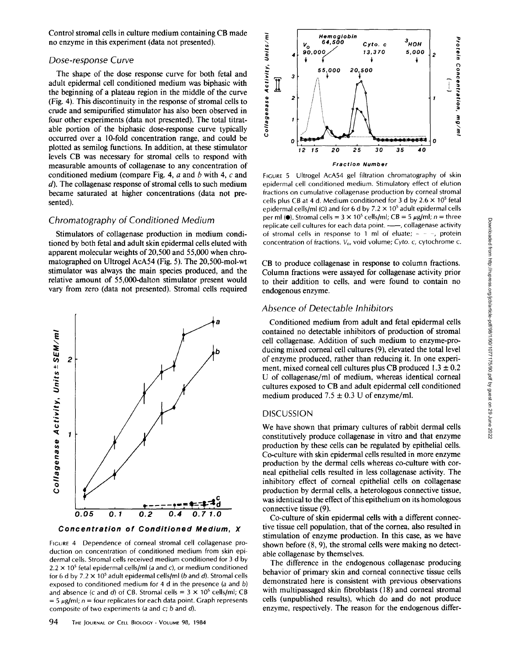Control stromal cells in culture medium containing CB made no enzyme in this experiment (data not presented).

#### Dose-response Curve

The shape of the dose response curve for both fetal and adult epidermal cell conditioned medium was biphasic with the beginning of a plateau region in the middle of the curve (Fig . 4) . This discontinuity in the response of stromal cells to crude and semipurified stimulator has also been observed in four other experiments (data not presented). The total titratable portion of the biphasic dose-response curve typically occurred over a 10-fold concentration range, and could be plotted as semilog functions. In addition, at these stimulator levels CB was necessary for stromal cells to respond with measurable amounts of collagenase to any concentration of conditioned medium (compare Fig. 4,  $a$  and  $b$  with 4,  $c$  and  $d$ ). The collagenase response of stromal cells to such medium became saturated at higher concentrations (data not presented).

## Chromatography of Conditioned Medium

Stimulators of collagenase production in medium conditioned by both fetal and adult skin epidermal cells eluted with apparent molecular weights of  $20,500$  and  $55,000$  when chromatographed on Ultrogel AcA54 (Fig. 5). The 20,500-mol-wt stimulator was always the main species produced, and the relative amount of 55,000-dalton stimulator present would vary from zero (data not presented). Stromal cells required



Concentration of Conditioned Medium, X

FIGURE 4 Dependence of corneal stromal cell collagenase production on concentration of conditioned medium from skin epidermal cells. Stromal cells received medium conditioned for 3 d by  $2.2 \times 10^5$  fetal epidermal cells/ml (a and c), or medium conditioned for 6 d by  $7.2 \times 10^5$  adult epidermal cells/ml (b and d). Stromal cells exposed to conditioned medium for 4 d in the presence (a and b) and absence (c and d) of CB. Stromal cells =  $3 \times 10^5$  cells/ml; CB  $= 5 \mu g/ml$ ; n = four replicates for each data point. Graph represents composite of two experiments (a and  $c$ ; b and  $d$ ).



FIGURE 5 Ultrogel AcA54 gel filtration chromatography of skin epidermal cell conditioned medium. Stimulatory effect of elution fractions on cumulative collagenase production by corneal stromal cells plus CB at 4 d. Medium conditioned for 3 d by  $2.6 \times 10^5$  fetal epidermal cells/ml (O) and for 6 d by  $7.2 \times 10^5$  adult epidermal cells per ml ( $\bullet$ ). Stromal cells = 3 × 10<sup>5</sup> cells/ml; CB = 5  $\mu$ g/ml; n = three replicate cell cultures for each data point. -- collagenase activity of stromal cells in response to 1 ml of eluate;  $- - -$ , protein concentration of fractions. V<sub>o</sub>, void volume; Cyto. c, cytochrome c.

CB to produce collagenase in response to column fractions. Column fractions were assayed for collagenase activity prior to their addition to cells, and were found to contain no endogenous enzyme.

#### Absence of Detectable Inhibitors

Conditioned medium from adult and fetal epidermal cells contained no detectable inhibitors of production of stromal cell collagenase . Addition of such medium to enzyme-producing mixed corneal cell cultures (9), elevated the total level of enzyme produced, rather than reducing it . In one experiment, mixed corneal cell cultures plus CB produced  $1.3 \pm 0.2$ U of collagenase/ml of medium, whereas identical corneal cultures exposed to CB and adult epidermal cell conditioned medium produced  $7.5 \pm 0.3$  U of enzyme/ml.

#### DISCUSSION

We have shown that primary cultures of rabbit dermal cells constitutively produce collagenase in vitro and that enzyme production by these cells can be regulated by epithelial cells. Co-culture with skin epidermal cells resulted in more enzyme production by the dermal cells whereas co-culture with corneal epithelial cells resulted in less collagenase activity. The inhibitory effect of corneal epithelial cells on collagenase production by dermal cells, a heterologous connective tissue, was identical to the effect of this epithelium on its homologous connective tissue (9).

Co-culture of skin epidermal cells with a different connective tissue cell population, that of the cornea, also resulted in stimulation of enzyme production. In this case, as we have shown before (8, 9), the stromal cells were making no detectable collagenase by themselves.

The difference in the endogenous collagenase producing behavior of primary skin and corneal connective tissue cells demonstrated here is consistent with previous observations with multipassaged skin fibroblasts (18) and corneal stromal cells (unpublished results), which do and do not produce enzyme, respectively. The reason for the endogenous differ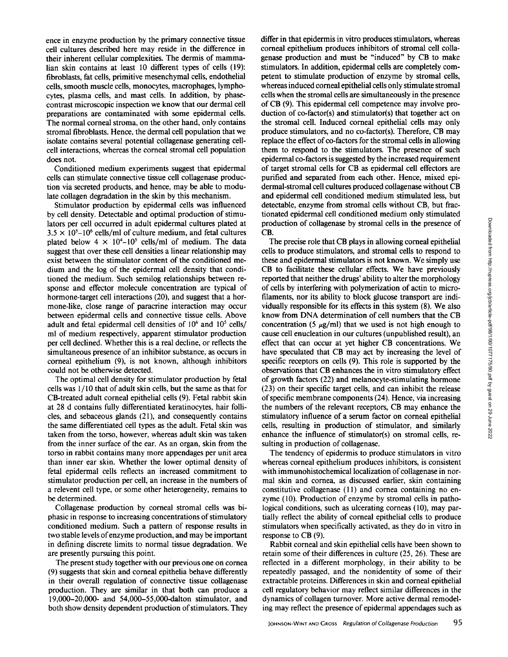ence in enzyme production by the primary connective tissue cell cultures described here may reside in the difference in their inherent cellular complexities. The dermis of mammalian skin contains at least 10 different types of cells (19) : fibroblasts, fat cells, primitive mesenchymal cells, endothelial cells, smooth muscle cells, monocytes, macrophages, lymphocytes, plasma cells, and mast cells. In addition, by phasecontrast microscopic inspection we know that our dermal cell preparations are contaminated with some epidermal cells. The normal corneal stroma, on the other hand, only contains stromal fibroblasts. Hence, the dermal cell population that we isolate contains several potential collagenase generating cellcell interactions, whereas the corneal stromal cell population does not.

Conditioned medium experiments suggest that epidermal cells can stimulate connective tissue cell collagenase production via secreted products, and hence, may be able to modulate collagen degradation in the skin by this mechanism.

Stimulator production by epidermal cells was influenced by cell density. Detectable and optimal production of stimulators per cell occurred in adult epidermal cultures plated at  $3.5 \times 10^{5}$ -10<sup>6</sup> cells/ml of culture medium, and fetal cultures plated below  $4 \times 10^{4}$ -10<sup>5</sup> cells/ml of medium. The data suggest that over these cell densities a linear relationship may exist between the stimulator content of the conditioned medium and the log of the epidermal cell density that conditioned the medium. Such semilog relationships between response and effector molecule concentration are typical of hormone-target cell interactions (20), and suggest that a hormone-like, close range of paracrine interaction may occur between epidermal cells and connective tissue cells . Above adult and fetal epidermal cell densities of  $10<sup>6</sup>$  and  $10<sup>5</sup>$  cells/ ml of medium respectively, apparent stimulator production per cell declined. Whether this is a real decline, or reflects the simultaneous presence of an inhibitor substance, as occurs in corneal epithelium (9), is not known, although inhibitors could not be otherwise detected.

The optimal cell density for stimulator production by fetal cells was  $1/10$  that of adult skin cells, but the same as that for CB-treated adult corneal epithelial cells (9) . Fetal rabbit skin at 28 d contains fully differentiated keratinocytes, hair follicles, and sebaceous glands (21), and consequently contains the same differentiated cell types as the adult. Fetal skin was taken from the torso, however, whereas adult skin was taken from the inner surface of the ear. As an organ, skin from the torso in rabbit contains many more appendages per unit area than inner ear skin. Whether the lower optimal density of fetal epidermal cells reflects an increased commitment to stimulator production per cell, an increase in the numbers of a relevent cell type, or some other heterogeneity, remains to be determined.

Collagenase production by corneal stromal cells was biphasic in response to increasing concentrations of stimulatory conditioned medium. Such a pattern of response results in two stable levels of enzyme production, and may be important in defining discrete limits to normal tissue degradation. We are presently pursuing this point.

The present study together with our previous one on cornea (9) suggests that skin and corneal epithelia behave differently in their overall regulation of connective tissue collagenase production. They are similar in that both can produce a 19,000-20,000- and 54,000-55,000-dalton stimulator, and both show density dependent production of stimulators. They

differ in that epidermis in vitro produces stimulators, whereas corneal epithelium produces inhibitors of stromal cell collagenase production and must be "induced" by CB to make stimulators. In addition, epidermal cells are completely competent to stimulate production of enzyme by stromal cells, whereas induced corneal epithelial cells only stimulate stromal cells when the stromal cells are simultaneously in the presence of CB (9) . This epidermal cell competence may involve production of co-factor(s) and stimulator(s) that together act on the stromal cell. Induced corneal epithelial cells may only produce stimulators, and no co-factor(s). Therefore, CB may replace the effect of co-factors for the stromal cells in allowing them to respond to the stimulators. The presence of such epidermal co-factors is suggested by the increased requirement of target stromal cells for CB as epidermal cell effectors are purified and separated from each other. Hence, mixed epidermal-stromal cell cultures produced collagenase without CB and epidermal cell conditioned medium stimulated less, but detectable, enzyme from stromal cells without CB, but fractionated epidermal cell conditioned medium only stimulated production of collagenase by stromal cells in the presence of CB.

The precise role that CB plays in allowing corneal epithelial cells to produce stimulators, and stromal cells to respond to these and epidermal stimulators is not known. We simply use CB to facilitate these cellular effects. We have previously reported that neither the drugs' ability to alter the morphology of cells by interfering with polymerization of actin to microfilaments, nor its ability to block glucose transport are individually responsible for its effects in this system (8) . We also know from DNA determination of cell numbers that the CB concentration (5  $\mu$ g/ml) that we used is not high enough to cause cell enucleation in our cultures (unpublished result), an effect that can occur at yet higher CB concentrations . We have speculated that CB may act by increasing the level of specific receptors on cells (9). This role is supported by the observations that CB enhances the in vitro stimulatory effect of growth factors (22) and melanocyte-stimulating hormone (23) on their specific target cells, and can inhibit the release of specific membrane components (24). Hence, via increasing the numbers of the relevant receptors, CB may enhance the stimulatory influence of a serum factor on corneal epithelial cells, resulting in production of stimulator, and similarly enhance the influence of stimulator(s) on stromal cells, resulting in production of collagenase.

The tendency of epidermis to produce stimulators in vitro whereas corneal epithelium produces inhibitors, is consistent with immunohistochemical localization of collagenase in normal skin and cornea, as discussed earlier, skin containing constitutive collagenase (11) and cornea containing no enzyme (10). Production of enzyme by stromal cells in pathological conditions, such as ulcerating corneas (10), may partially reflect the ability of corneal epithelial cells to produce stimulators when specifically activated, as they do in vitro in response to CB (9).

Rabbit corneal and skin epithelial cells have been shown to retain some of their differences in culture (25, 26). These are reflected in a different morphology, in their ability to be repeatedly passaged, and the nonidentity of some of their extractable proteins. Differences in skin and corneal epithelial cell regulatory behavior may reflect similar differences in the dynamics of collagen turnover. More active dermal remodeling may reflect the presence of epidermal appendages such as